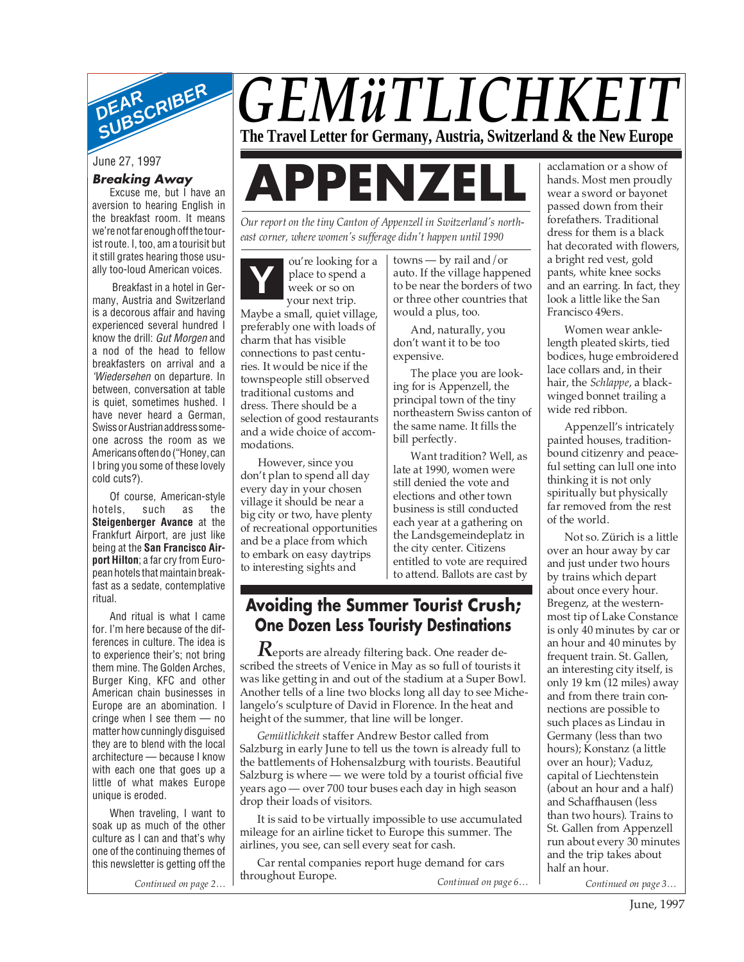

# **Breaking Away**

Excuse me, but I have an aversion to hearing English in the breakfast room. It means we're not far enough off the tourist route. I, too, am a tourisit but it still grates hearing those usually too-loud American voices.

Breakfast in a hotel in Germany, Austria and Switzerland is a decorous affair and having experienced several hundred I know the drill: Gut Morgen and a nod of the head to fellow breakfasters on arrival and a 'Wiedersehen on departure. In between, conversation at table is quiet, sometimes hushed. I have never heard a German, Swiss or Austrian address someone across the room as we Americans often do ("Honey, can I bring you some of these lovely cold cuts?).

Of course, American-style hotels, such as the **Steigenberger Avance** at the Frankfurt Airport, are just like being at the **San Francisco Airport Hilton**; a far cry from European hotels that maintain breakfast as a sedate, contemplative ritual.

And ritual is what I came for. I'm here because of the differences in culture. The idea is to experience their's; not bring them mine. The Golden Arches, Burger King, KFC and other American chain businesses in Europe are an abomination. I cringe when I see them — no matter how cunningly disguised they are to blend with the local architecture — because I know with each one that goes up a little of what makes Europe unique is eroded.

When traveling, I want to soak up as much of the other culture as I can and that's why one of the continuing themes of this newsletter is getting off the

# *GEMüTLICHKEIT* **The Travel Letter for Germany, Austria, Switzerland & the New Europe**

# June 27, 1997<br>Breaking Away<br>Excuse me, but I have an

*Our report on the tiny Canton of Appenzell in Switzerland's northeast corner, where women's sufferage didn't happen until 1990*

**Y** ou're looking for a place to spend a week or so on your next trip.

Maybe a small, quiet village, preferably one with loads of charm that has visible connections to past centuries. It would be nice if the townspeople still observed traditional customs and dress. There should be a selection of good restaurants and a wide choice of accommodations.

However, since you don't plan to spend all day every day in your chosen village it should be near a big city or two, have plenty of recreational opportunities and be a place from which to embark on easy daytrips to interesting sights and

towns — by rail and/or auto. If the village happened to be near the borders of two or three other countries that would a plus, too.

And, naturally, you don't want it to be too expensive.

The place you are looking for is Appenzell, the principal town of the tiny northeastern Swiss canton of the same name. It fills the bill perfectly.

Want tradition? Well, as late at 1990, women were still denied the vote and elections and other town business is still conducted each year at a gathering on the Landsgemeindeplatz in the city center. Citizens entitled to vote are required to attend. Ballots are cast by

# **Avoiding the Summer Tourist Crush; One Dozen Less Touristy Destinations**

*R*eports are already filtering back. One reader described the streets of Venice in May as so full of tourists it was like getting in and out of the stadium at a Super Bowl. Another tells of a line two blocks long all day to see Michelangelo's sculpture of David in Florence. In the heat and height of the summer, that line will be longer.

*Gemütlichkeit* staffer Andrew Bestor called from Salzburg in early June to tell us the town is already full to the battlements of Hohensalzburg with tourists. Beautiful Salzburg is where — we were told by a tourist official five years ago — over 700 tour buses each day in high season drop their loads of visitors.

It is said to be virtually impossible to use accumulated mileage for an airline ticket to Europe this summer. The airlines, you see, can sell every seat for cash.

*Continued on page 2… Continued on page 6… Continued on page 3…* Car rental companies report huge demand for cars throughout Europe.

acclamation or a show of hands. Most men proudly wear a sword or bayonet passed down from their forefathers. Traditional dress for them is a black hat decorated with flowers, a bright red vest, gold pants, white knee socks and an earring. In fact, they look a little like the San Francisco 49ers.

Women wear anklelength pleated skirts, tied bodices, huge embroidered lace collars and, in their hair, the *Schlappe*, a blackwinged bonnet trailing a wide red ribbon.

Appenzell's intricately painted houses, traditionbound citizenry and peaceful setting can lull one into thinking it is not only spiritually but physically far removed from the rest of the world.

Not so. Zürich is a little over an hour away by car and just under two hours by trains which depart about once every hour. Bregenz, at the westernmost tip of Lake Constance is only 40 minutes by car or an hour and 40 minutes by frequent train. St. Gallen, an interesting city itself, is only 19 km (12 miles) away and from there train connections are possible to such places as Lindau in Germany (less than two hours); Konstanz (a little over an hour); Vaduz, capital of Liechtenstein (about an hour and a half) and Schaffhausen (less than two hours). Trains to St. Gallen from Appenzell run about every 30 minutes and the trip takes about half an hour.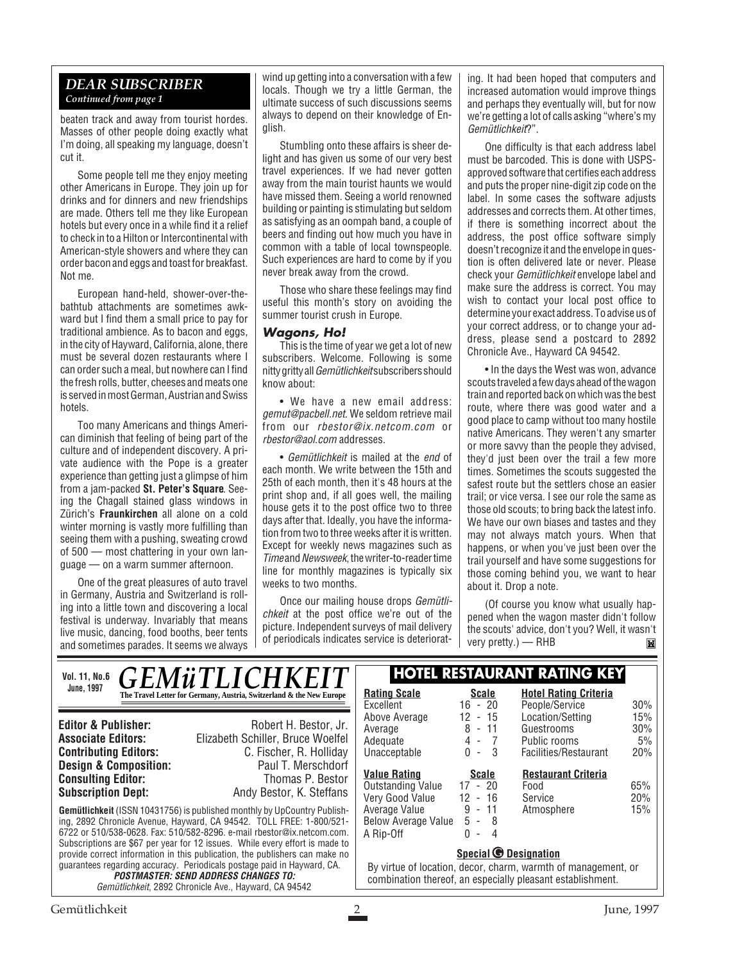#### *DEAR SUBSCRIBER Continued from page 1*

beaten track and away from tourist hordes. Masses of other people doing exactly what I'm doing, all speaking my language, doesn't cut it.

Some people tell me they enjoy meeting other Americans in Europe. They join up for drinks and for dinners and new friendships are made. Others tell me they like European hotels but every once in a while find it a relief to check in to a Hilton or Intercontinental with American-style showers and where they can order bacon and eggs and toast for breakfast. Not me.

European hand-held, shower-over-thebathtub attachments are sometimes awkward but I find them a small price to pay for traditional ambience. As to bacon and eggs, in the city of Hayward, California, alone, there must be several dozen restaurants where I can order such a meal, but nowhere can I find the fresh rolls, butter, cheeses and meats one is served in most German, Austrian and Swiss hotels.

Too many Americans and things American diminish that feeling of being part of the culture and of independent discovery. A private audience with the Pope is a greater experience than getting just a glimpse of him from a jam-packed **St. Peter's Square**. Seeing the Chagall stained glass windows in Zürich's **Fraunkirchen** all alone on a cold winter morning is vastly more fulfilling than seeing them with a pushing, sweating crowd of 500 — most chattering in your own language — on a warm summer afternoon.

One of the great pleasures of auto travel in Germany, Austria and Switzerland is rolling into a little town and discovering a local festival is underway. Invariably that means live music, dancing, food booths, beer tents and sometimes parades. It seems we always

wind up getting into a conversation with a few locals. Though we try a little German, the ultimate success of such discussions seems always to depend on their knowledge of English.

Stumbling onto these affairs is sheer delight and has given us some of our very best travel experiences. If we had never gotten away from the main tourist haunts we would have missed them. Seeing a world renowned building or painting is stimulating but seldom as satisfying as an oompah band, a couple of beers and finding out how much you have in common with a table of local townspeople. Such experiences are hard to come by if you never break away from the crowd.

Those who share these feelings may find useful this month's story on avoiding the summer tourist crush in Europe.

#### **Wagons, Ho!**

This is the time of year we get a lot of new subscribers. Welcome. Following is some nitty gritty all Gemütlichkeit subscribers should know about:

• We have a new email address: gemut@pacbell.net. We seldom retrieve mail from our rbestor@ix.netcom.com or rbestor@aol.com addresses.

• Gemütlichkeit is mailed at the end of each month. We write between the 15th and 25th of each month, then it's 48 hours at the print shop and, if all goes well, the mailing house gets it to the post office two to three days after that. Ideally, you have the information from two to three weeks after it is written. Except for weekly news magazines such as Time and Newsweek, the writer-to-reader time line for monthly magazines is typically six weeks to two months.

Once our mailing house drops Gemütlichkeit at the post office we're out of the picture. Independent surveys of mail delivery of periodicals indicates service is deteriorat-

ing. It had been hoped that computers and increased automation would improve things and perhaps they eventually will, but for now we're getting a lot of calls asking "where's my Gemütlichkeit?".

One difficulty is that each address label must be barcoded. This is done with USPSapproved software that certifies each address and puts the proper nine-digit zip code on the label. In some cases the software adjusts addresses and corrects them. At other times, if there is something incorrect about the address, the post office software simply doesn't recognize it and the envelope in question is often delivered late or never. Please check your Gemütlichkeit envelope label and make sure the address is correct. You may wish to contact your local post office to determine your exact address. To advise us of your correct address, or to change your address, please send a postcard to 2892 Chronicle Ave., Hayward CA 94542.

• In the days the West was won, advance scouts traveled a few days ahead of the wagon train and reported back on which was the best route, where there was good water and a good place to camp without too many hostile native Americans. They weren't any smarter or more savvy than the people they advised, they'd just been over the trail a few more times. Sometimes the scouts suggested the safest route but the settlers chose an easier trail; or vice versa. I see our role the same as those old scouts; to bring back the latest info. We have our own biases and tastes and they may not always match yours. When that happens, or when you've just been over the trail yourself and have some suggestions for those coming behind you, we want to hear about it. Drop a note.

(Of course you know what usually happened when the wagon master didn't follow the scouts' advice, don't you? Well, it wasn't very pretty.) — RHBĬМ

| <b>GEMÜTLICHKEIT</b><br><b>Vol. 11, No.6</b>                                                                                                                                              |                                                                                                                                                                                                                                                                                                                                                                                                                                                                                                                                                                 | <b>HOTEL RESTAURANT RATING KEY</b>                                                                                                                                                     |                                                                                                                                                           |                                                                                                                                        |                                              |
|-------------------------------------------------------------------------------------------------------------------------------------------------------------------------------------------|-----------------------------------------------------------------------------------------------------------------------------------------------------------------------------------------------------------------------------------------------------------------------------------------------------------------------------------------------------------------------------------------------------------------------------------------------------------------------------------------------------------------------------------------------------------------|----------------------------------------------------------------------------------------------------------------------------------------------------------------------------------------|-----------------------------------------------------------------------------------------------------------------------------------------------------------|----------------------------------------------------------------------------------------------------------------------------------------|----------------------------------------------|
| <b>June, 1997</b>                                                                                                                                                                         | The Travel Letter for Germany, Austria, Switzerland & the New Europe                                                                                                                                                                                                                                                                                                                                                                                                                                                                                            | <b>Rating Scale</b><br>Excellent                                                                                                                                                       | <b>Scale</b><br>$16 - 20$                                                                                                                                 | <b>Hotel Rating Criteria</b><br>People/Service                                                                                         | 30%                                          |
| <b>Editor &amp; Publisher:</b><br><b>Associate Editors:</b><br><b>Contributing Editors:</b><br><b>Design &amp; Composition:</b><br><b>Consulting Editor:</b><br><b>Subscription Dept:</b> | Robert H. Bestor, Jr.<br>Elizabeth Schiller, Bruce Woelfel<br>C. Fischer, R. Holliday<br>Paul T. Merschdorf<br>Thomas P. Bestor<br>Andy Bestor, K. Steffans<br><b>Gemütlichkeit</b> (ISSN 10431756) is published monthly by UpCountry Publish-<br>ing, 2892 Chronicle Avenue, Hayward, CA 94542. TOLL FREE: 1-800/521-<br>6722 or 510/538-0628. Fax: 510/582-8296. e-mail rbestor@ix.netcom.com.<br>Subscriptions are \$67 per year for 12 issues. While every effort is made to<br>provide correct information in this publication, the publishers can make no | Above Average<br>Average<br>Adequate<br>Unacceptable<br><b>Value Rating</b><br><b>Outstanding Value</b><br>Very Good Value<br>Average Value<br><b>Below Average Value</b><br>A Rip-Off | 12 - 15<br>$8 - 11$<br>$4 - 7$<br>$0 - 3$<br><b>Scale</b><br>$17 - 20$<br>$12 - 16$<br>$9 - 11$<br>$5 - 8$<br>$0 -$<br>-4<br>Special <b>C</b> Designation | Location/Setting<br>Guestrooms<br>Public rooms<br>Facilities/Restaurant<br><b>Restaurant Criteria</b><br>Food<br>Service<br>Atmosphere | 15%<br>30%<br>5%<br>20%<br>65%<br>20%<br>15% |
| guarantees regarding accuracy. Periodicals postage paid in Hayward, CA.<br><b>POSTMASTER: SEND ADDRESS CHANGES TO:</b><br>Gemütlichkeit, 2892 Chronicle Ave., Hayward, CA 94542           |                                                                                                                                                                                                                                                                                                                                                                                                                                                                                                                                                                 | By virtue of location, decor, charm, warmth of management, or<br>combination thereof, an especially pleasant establishment.                                                            |                                                                                                                                                           |                                                                                                                                        |                                              |
|                                                                                                                                                                                           |                                                                                                                                                                                                                                                                                                                                                                                                                                                                                                                                                                 |                                                                                                                                                                                        |                                                                                                                                                           |                                                                                                                                        |                                              |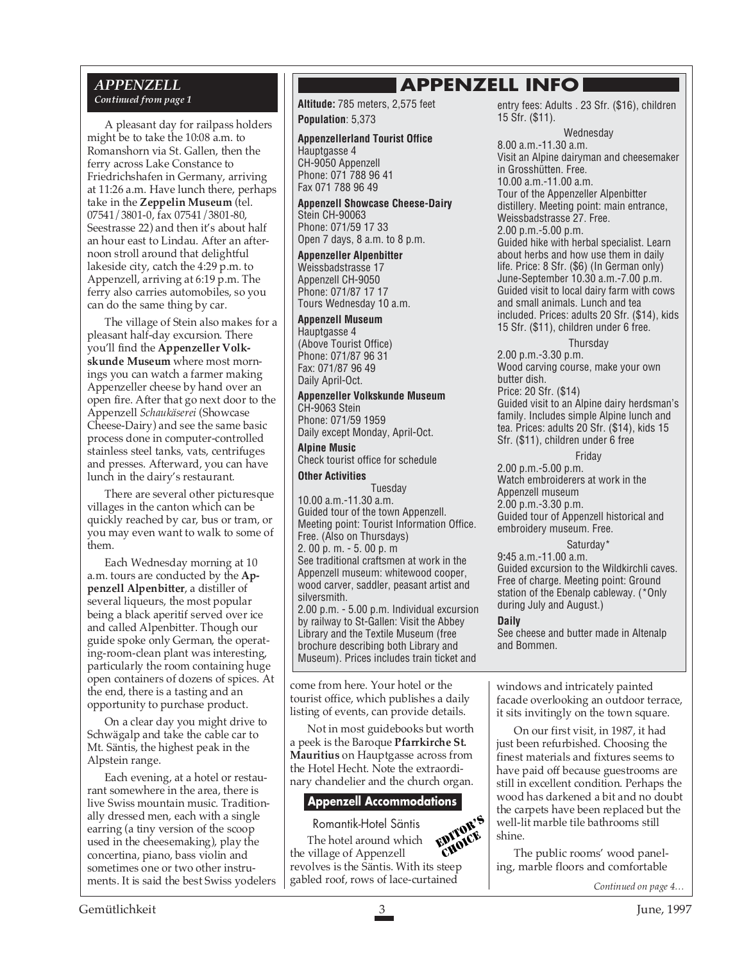#### *APPENZELL Continued from page 1*

A pleasant day for railpass holders might be to take the 10:08 a.m. to Romanshorn via St. Gallen, then the ferry across Lake Constance to Friedrichshafen in Germany, arriving at 11:26 a.m. Have lunch there, perhaps take in the **Zeppelin Museum** (tel. 07541/3801-0, fax 07541/3801-80, Seestrasse 22) and then it's about half an hour east to Lindau. After an afternoon stroll around that delightful lakeside city, catch the 4:29 p.m. to Appenzell, arriving at 6:19 p.m. The ferry also carries automobiles, so you can do the same thing by car.

The village of Stein also makes for a pleasant half-day excursion. There you'll find the **Appenzeller Volkskunde Museum** where most mornings you can watch a farmer making Appenzeller cheese by hand over an open fire. After that go next door to the Appenzell *Schaukäserei* (Showcase Cheese-Dairy) and see the same basic process done in computer-controlled stainless steel tanks, vats, centrifuges and presses. Afterward, you can have lunch in the dairy's restaurant*.*

There are several other picturesque villages in the canton which can be quickly reached by car, bus or tram, or you may even want to walk to some of them.

Each Wednesday morning at 10 a.m. tours are conducted by the **Appenzell Alpenbitter**, a distiller of several liqueurs, the most popular being a black aperitif served over ice and called Alpenbitter. Though our guide spoke only German, the operating-room-clean plant was interesting, particularly the room containing huge open containers of dozens of spices. At the end, there is a tasting and an opportunity to purchase product.

On a clear day you might drive to Schwägalp and take the cable car to Mt. Säntis, the highest peak in the Alpstein range.

Each evening, at a hotel or restaurant somewhere in the area, there is live Swiss mountain music. Traditionally dressed men, each with a single earring (a tiny version of the scoop used in the cheesemaking), play the concertina, piano, bass violin and sometimes one or two other instruments. It is said the best Swiss yodelers **APPENZELL INFO**

**Altitude:** 785 meters, 2,575 feet **Population**: 5,373

#### **Appenzellerland Tourist Office**

Hauptgasse 4 CH-9050 Appenzell Phone: 071 788 96 41 Fax 071 788 96 49

**Appenzell Showcase Cheese-Dairy** Stein CH-90063 Phone: 071/59 17 33 Open 7 days, 8 a.m. to 8 p.m.

**Appenzeller Alpenbitter** Weissbadstrasse 17 Appenzell CH-9050 Phone: 071/87 17 17 Tours Wednesday 10 a.m.

**Appenzell Museum**

Hauptgasse 4 (Above Tourist Office) Phone: 071/87 96 31 Fax: 071/87 96 49 Daily April-Oct.

**Appenzeller Volkskunde Museum** CH-9063 Stein Phone: 071/59 1959

Daily except Monday, April-Oct. **Alpine Music** Check tourist office for schedule

**Other Activities**

Tuesday 10.00 a.m.-11.30 a.m. Guided tour of the town Appenzell. Meeting point: Tourist Information Office. Free. (Also on Thursdays) 2. 00 p. m. - 5. 00 p. m See traditional craftsmen at work in the Appenzell museum: whitewood cooper, wood carver, saddler, peasant artist and silversmith. 2.00 p.m. - 5.00 p.m. Individual excursion by railway to St-Gallen: Visit the Abbey Library and the Textile Museum (free brochure describing both Library and

come from here. Your hotel or the tourist office, which publishes a daily listing of events, can provide details.

Museum). Prices includes train ticket and

Not in most guidebooks but worth a peek is the Baroque **Pfarrkirche St. Mauritius** on Hauptgasse across from the Hotel Hecht. Note the extraordinary chandelier and the church organ.

#### **Appenzell Accommodations**

Romantik-Hotel Säntis

The hotel around which the village of Appenzell revolves is the Säntis. With its steep gabled roof, rows of lace-curtained EDITOR'S CHOICE

entry fees: Adults . 23 Sfr. (\$16), children 15 Sfr. (\$11).

Wednesday

8.00 a.m.-11.30 a.m. Visit an Alpine dairyman and cheesemaker in Grosshütten. Free. 10.00 a.m.-11.00 a.m. Tour of the Appenzeller Alpenbitter distillery. Meeting point: main entrance, Weissbadstrasse 27. Free. 2.00 p.m.-5.00 p.m. Guided hike with herbal specialist. Learn about herbs and how use them in daily life. Price: 8 Sfr. (\$6) (In German only) June-September 10.30 a.m.-7.00 p.m. Guided visit to local dairy farm with cows and small animals. Lunch and tea included. Prices: adults 20 Sfr. (\$14), kids 15 Sfr. (\$11), children under 6 free.

**Thursday** 

2.00 p.m.-3.30 p.m. Wood carving course, make your own butter dish. Price: 20 Sfr. (\$14) Guided visit to an Alpine dairy herdsman's family. Includes simple Alpine lunch and tea. Prices: adults 20 Sfr. (\$14), kids 15 Sfr. (\$11), children under 6 free

Friday

2.00 p.m.-5.00 p.m. Watch embroiderers at work in the Appenzell museum 2.00 p.m.-3.30 p.m. Guided tour of Appenzell historical and embroidery museum. Free.

Saturday\*

9**:**45 a.m.-11.00 a.m. Guided excursion to the Wildkirchli caves. Free of charge. Meeting point: Ground station of the Ebenalp cableway. (\*Only during July and August.)

**Daily**

See cheese and butter made in Altenalp and Bommen.

windows and intricately painted facade overlooking an outdoor terrace, it sits invitingly on the town square.

On our first visit, in 1987, it had just been refurbished. Choosing the finest materials and fixtures seems to have paid off because guestrooms are still in excellent condition. Perhaps the wood has darkened a bit and no doubt the carpets have been replaced but the well-lit marble tile bathrooms still shine.

The public rooms' wood paneling, marble floors and comfortable

*Continued on page 4…*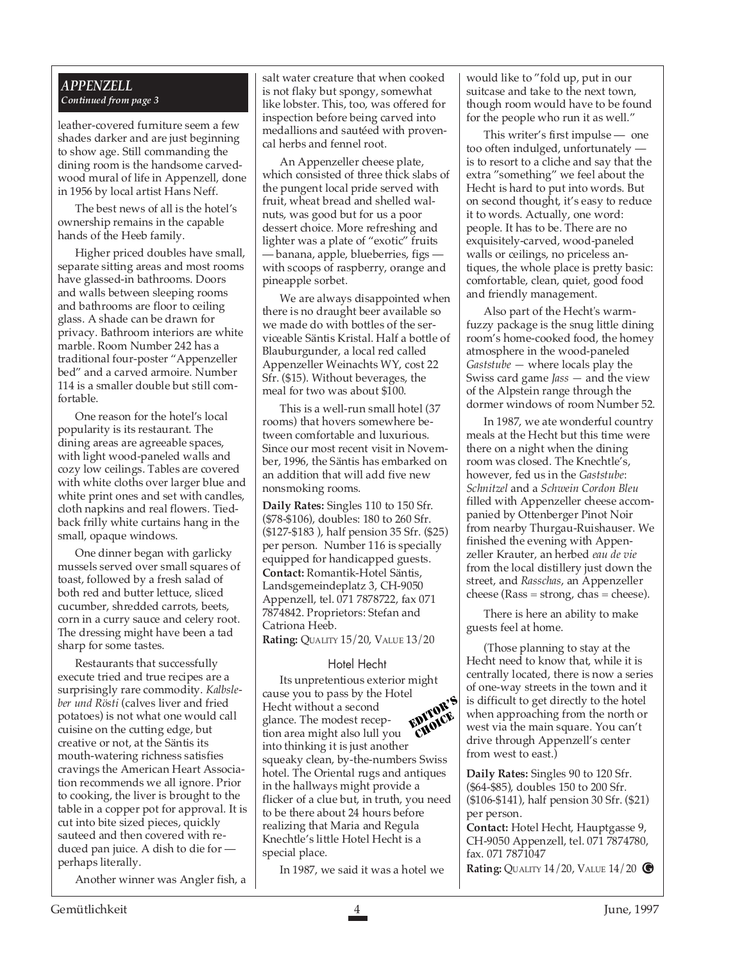#### *APPENZELL Continued from page 3*

leather-covered furniture seem a few shades darker and are just beginning to show age. Still commanding the dining room is the handsome carvedwood mural of life in Appenzell, done in 1956 by local artist Hans Neff.

The best news of all is the hotel's ownership remains in the capable hands of the Heeb family.

Higher priced doubles have small, separate sitting areas and most rooms have glassed-in bathrooms. Doors and walls between sleeping rooms and bathrooms are floor to ceiling glass. A shade can be drawn for privacy. Bathroom interiors are white marble. Room Number 242 has a traditional four-poster "Appenzeller bed" and a carved armoire. Number 114 is a smaller double but still comfortable.

One reason for the hotel's local popularity is its restaurant. The dining areas are agreeable spaces, with light wood-paneled walls and cozy low ceilings. Tables are covered with white cloths over larger blue and white print ones and set with candles, cloth napkins and real flowers. Tiedback frilly white curtains hang in the small, opaque windows.

One dinner began with garlicky mussels served over small squares of toast, followed by a fresh salad of both red and butter lettuce, sliced cucumber, shredded carrots, beets, corn in a curry sauce and celery root. The dressing might have been a tad sharp for some tastes.

Restaurants that successfully execute tried and true recipes are a surprisingly rare commodity. *Kalbsleber und Rösti* (calves liver and fried potatoes) is not what one would call cuisine on the cutting edge, but creative or not, at the Säntis its mouth-watering richness satisfies cravings the American Heart Association recommends we all ignore. Prior to cooking, the liver is brought to the table in a copper pot for approval. It is cut into bite sized pieces, quickly sauteed and then covered with reduced pan juice. A dish to die for perhaps literally.

Another winner was Angler fish, a

salt water creature that when cooked is not flaky but spongy, somewhat like lobster. This, too, was offered for inspection before being carved into medallions and sautéed with provencal herbs and fennel root.

An Appenzeller cheese plate, which consisted of three thick slabs of the pungent local pride served with fruit, wheat bread and shelled walnuts, was good but for us a poor dessert choice. More refreshing and lighter was a plate of "exotic" fruits - banana, apple, blueberries, figs with scoops of raspberry, orange and pineapple sorbet.

We are always disappointed when there is no draught beer available so we made do with bottles of the serviceable Säntis Kristal. Half a bottle of Blauburgunder, a local red called Appenzeller Weinachts WY, cost 22 Sfr. (\$15). Without beverages, the meal for two was about \$100.

This is a well-run small hotel (37 rooms) that hovers somewhere between comfortable and luxurious. Since our most recent visit in November, 1996, the Säntis has embarked on an addition that will add five new nonsmoking rooms.

**Daily Rates:** Singles 110 to 150 Sfr. (\$78-\$106), doubles: 180 to 260 Sfr. (\$127-\$183 ), half pension 35 Sfr. (\$25) per person. Number 116 is specially equipped for handicapped guests. **Contact:** Romantik-Hotel Säntis, Landsgemeindeplatz 3, CH-9050 Appenzell, tel. 071 7878722, fax 071 7874842. Proprietors: Stefan and Catriona Heeb.

**Rating:** QUALITY 15/20, VALUE 13/20

#### Hotel Hecht

Its unpretentious exterior might cause you to pass by the Hotel Hecht without a second glance. The modest reception area might also lull you into thinking it is just another squeaky clean, by-the-numbers Swiss hotel. The Oriental rugs and antiques in the hallways might provide a flicker of a clue but, in truth, you need to be there about 24 hours before realizing that Maria and Regula Knechtle's little Hotel Hecht is a special place. EDITOR'S CHOICE

In 1987, we said it was a hotel we

would like to "fold up, put in our suitcase and take to the next town, though room would have to be found for the people who run it as well."

This writer's first impulse — one too often indulged, unfortunately is to resort to a cliche and say that the extra "something" we feel about the Hecht is hard to put into words. But on second thought, it's easy to reduce it to words. Actually, one word: people. It has to be. There are no exquisitely-carved, wood-paneled walls or ceilings, no priceless antiques, the whole place is pretty basic: comfortable, clean, quiet, good food and friendly management.

Also part of the Hecht's warmfuzzy package is the snug little dining room's home-cooked food, the homey atmosphere in the wood-paneled *Gaststube —* where locals play the Swiss card game *Jass —* and the view of the Alpstein range through the dormer windows of room Number 52.

In 1987, we ate wonderful country meals at the Hecht but this time were there on a night when the dining room was closed. The Knechtle's, however, fed us in the *Gaststube*: *Schnitzel* and a *Schwein Cordon Bleu* filled with Appenzeller cheese accompanied by Ottenberger Pinot Noir from nearby Thurgau-Ruishauser. We finished the evening with Appenzeller Krauter, an herbed *eau de vie* from the local distillery just down the street, and *Rasschas*, an Appenzeller  $cheese (Rass = strong, chase = cheese).$ 

There is here an ability to make guests feel at home.

(Those planning to stay at the Hecht need to know that, while it is centrally located, there is now a series of one-way streets in the town and it is difficult to get directly to the hotel when approaching from the north or west via the main square. You can't drive through Appenzell's center from west to east.)

**Daily Rates:** Singles 90 to 120 Sfr. (\$64-\$85), doubles 150 to 200 Sfr. (\$106-\$141), half pension 30 Sfr. (\$21) per person.

**Contact:** Hotel Hecht, Hauptgasse 9, CH-9050 Appenzell, tel. 071 7874780, fax. 071 7871047

**Rating:** QUALITY 14/20, VALUE 14/20 **G**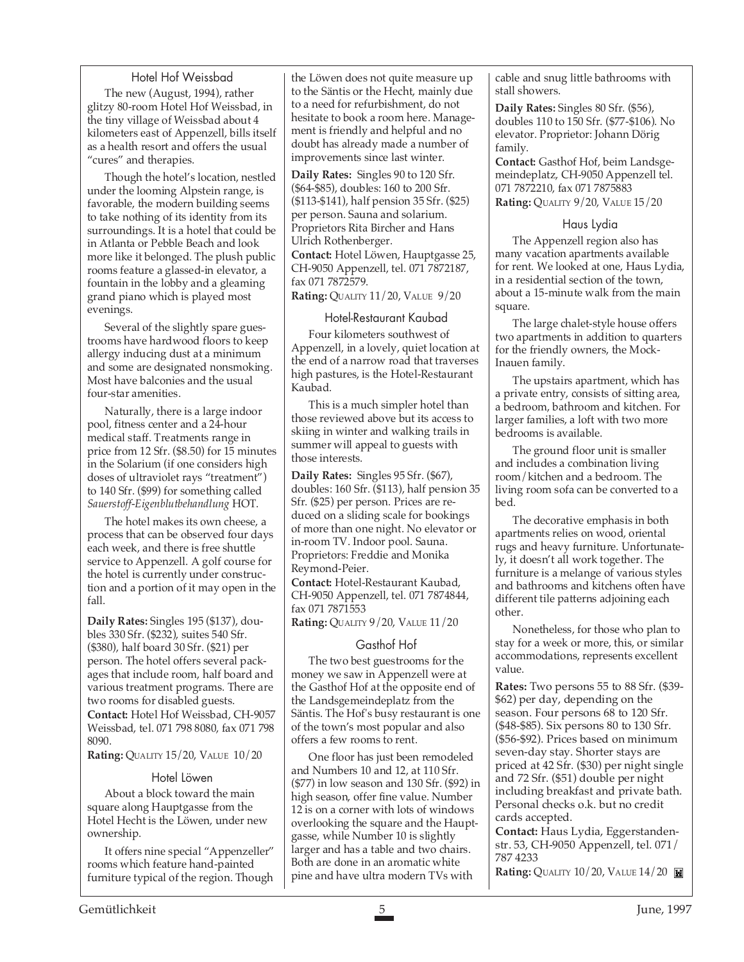#### Hotel Hof Weissbad

The new (August, 1994), rather glitzy 80-room Hotel Hof Weissbad, in the tiny village of Weissbad about 4 kilometers east of Appenzell, bills itself as a health resort and offers the usual "cures" and therapies.

Though the hotel's location, nestled under the looming Alpstein range, is favorable, the modern building seems to take nothing of its identity from its surroundings. It is a hotel that could be in Atlanta or Pebble Beach and look more like it belonged. The plush public rooms feature a glassed-in elevator, a fountain in the lobby and a gleaming grand piano which is played most evenings.

Several of the slightly spare guestrooms have hardwood floors to keep allergy inducing dust at a minimum and some are designated nonsmoking. Most have balconies and the usual four-star amenities.

Naturally, there is a large indoor pool, fitness center and a 24-hour medical staff. Treatments range in price from 12 Sfr. (\$8.50) for 15 minutes in the Solarium (if one considers high doses of ultraviolet rays "treatment") to 140 Sfr. (\$99) for something called *Sauerstoff-Eigenblutbehandlung* HOT.

The hotel makes its own cheese, a process that can be observed four days each week, and there is free shuttle service to Appenzell. A golf course for the hotel is currently under construction and a portion of it may open in the fall.

**Daily Rates:** Singles 195 (\$137), doubles 330 Sfr. (\$232), suites 540 Sfr. (\$380), half board 30 Sfr. (\$21) per person. The hotel offers several packages that include room, half board and various treatment programs. There are two rooms for disabled guests. **Contact:** Hotel Hof Weissbad, CH-9057 Weissbad, tel. 071 798 8080, fax 071 798 8090.

**Rating:** QUALITY 15/20, VALUE 10/20

#### Hotel Löwen

About a block toward the main square along Hauptgasse from the Hotel Hecht is the Löwen, under new ownership.

It offers nine special "Appenzeller" rooms which feature hand-painted furniture typical of the region. Though

the Löwen does not quite measure up to the Säntis or the Hecht, mainly due to a need for refurbishment, do not hesitate to book a room here. Management is friendly and helpful and no doubt has already made a number of improvements since last winter.

**Daily Rates:** Singles 90 to 120 Sfr. (\$64-\$85), doubles: 160 to 200 Sfr. (\$113-\$141), half pension 35 Sfr. (\$25) per person. Sauna and solarium. Proprietors Rita Bircher and Hans Ulrich Rothenberger.

**Contact:** Hotel Löwen, Hauptgasse 25, CH-9050 Appenzell, tel. 071 7872187, fax 071 7872579.

**Rating:** QUALITY 11/20, VALUE 9/20

#### Hotel-Restaurant Kaubad

Four kilometers southwest of Appenzell, in a lovely, quiet location at the end of a narrow road that traverses high pastures, is the Hotel-Restaurant Kaubad.

This is a much simpler hotel than those reviewed above but its access to skiing in winter and walking trails in summer will appeal to guests with those interests.

**Daily Rates:** Singles 95 Sfr. (\$67), doubles: 160 Sfr. (\$113), half pension 35 Sfr. (\$25) per person. Prices are reduced on a sliding scale for bookings of more than one night. No elevator or in-room TV. Indoor pool. Sauna. Proprietors: Freddie and Monika Reymond-Peier.

**Contact:** Hotel-Restaurant Kaubad, CH-9050 Appenzell, tel. 071 7874844, fax 071 7871553

**Rating:** QUALITY 9/20, VALUE 11/20

#### Gasthof Hof

The two best guestrooms for the money we saw in Appenzell were at the Gasthof Hof at the opposite end of the Landsgemeindeplatz from the Säntis. The Hof's busy restaurant is one of the town's most popular and also offers a few rooms to rent.

One floor has just been remodeled and Numbers 10 and 12, at 110 Sfr. (\$77) in low season and 130 Sfr. (\$92) in high season, offer fine value. Number 12 is on a corner with lots of windows overlooking the square and the Hauptgasse, while Number 10 is slightly larger and has a table and two chairs. Both are done in an aromatic white pine and have ultra modern TVs with

cable and snug little bathrooms with stall showers.

**Daily Rates:** Singles 80 Sfr. (\$56), doubles 110 to 150 Sfr. (\$77-\$106). No elevator. Proprietor: Johann Dörig family.

**Contact:** Gasthof Hof, beim Landsgemeindeplatz, CH-9050 Appenzell tel. 071 7872210, fax 071 7875883 **Rating:** QUALITY 9/20, VALUE 15/20

#### Haus Lydia

The Appenzell region also has many vacation apartments available for rent. We looked at one, Haus Lydia, in a residential section of the town, about a 15-minute walk from the main square.

The large chalet-style house offers two apartments in addition to quarters for the friendly owners, the Mock-Inauen family.

The upstairs apartment, which has a private entry, consists of sitting area, a bedroom, bathroom and kitchen. For larger families, a loft with two more bedrooms is available.

The ground floor unit is smaller and includes a combination living room/kitchen and a bedroom. The living room sofa can be converted to a bed.

The decorative emphasis in both apartments relies on wood, oriental rugs and heavy furniture. Unfortunately, it doesn't all work together. The furniture is a melange of various styles and bathrooms and kitchens often have different tile patterns adjoining each other.

Nonetheless, for those who plan to stay for a week or more, this, or similar accommodations, represents excellent value.

**Rates:** Two persons 55 to 88 Sfr. (\$39- \$62) per day, depending on the season. Four persons 68 to 120 Sfr. (\$48-\$85). Six persons 80 to 130 Sfr. (\$56-\$92). Prices based on minimum seven-day stay. Shorter stays are priced at 42 Sfr. (\$30) per night single and 72 Sfr. (\$51) double per night including breakfast and private bath. Personal checks o.k. but no credit cards accepted.

**Contact:** Haus Lydia, Eggerstandenstr. 53, CH-9050 Appenzell, tel. 071/ 787 4233

**Rating:** QUALITY 10/20, VALUE 14/20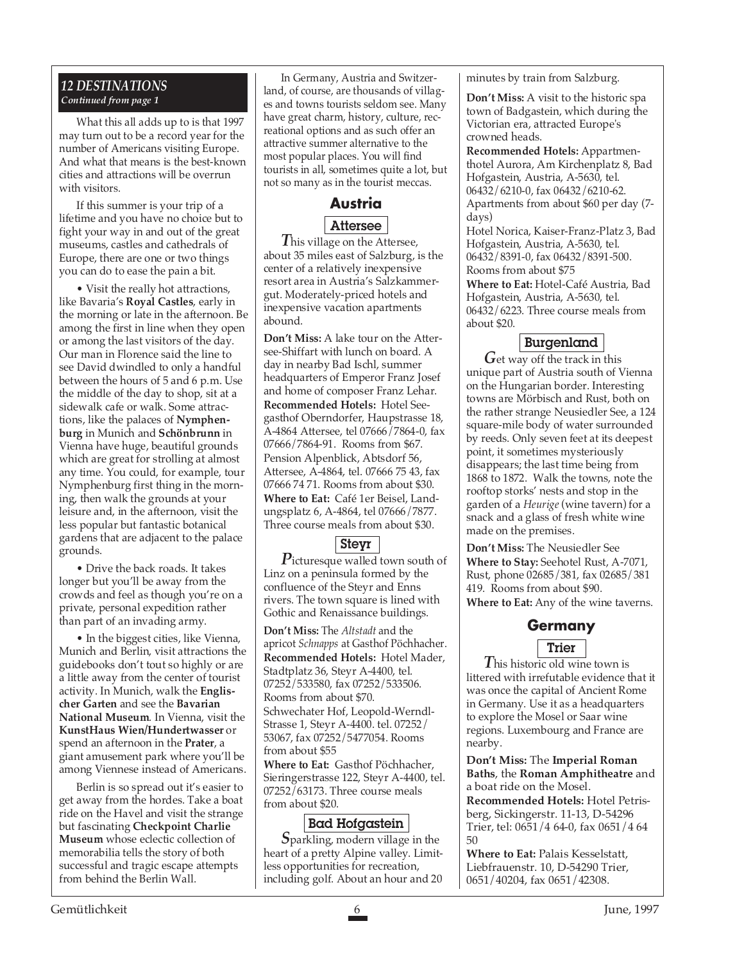# *12 DESTINATIONS Continued from page 1*

What this all adds up to is that 1997 may turn out to be a record year for the number of Americans visiting Europe. And what that means is the best-known cities and attractions will be overrun with visitors.

If this summer is your trip of a lifetime and you have no choice but to fight your way in and out of the great museums, castles and cathedrals of Europe, there are one or two things you can do to ease the pain a bit.

• Visit the really hot attractions, like Bavaria's **Royal Castles**, early in the morning or late in the afternoon. Be among the first in line when they open or among the last visitors of the day. Our man in Florence said the line to see David dwindled to only a handful between the hours of 5 and 6 p.m. Use the middle of the day to shop, sit at a sidewalk cafe or walk. Some attractions, like the palaces of **Nymphenburg** in Munich and **Schönbrunn** in Vienna have huge, beautiful grounds which are great for strolling at almost any time. You could, for example, tour Nymphenburg first thing in the morning, then walk the grounds at your leisure and, in the afternoon, visit the less popular but fantastic botanical gardens that are adjacent to the palace grounds.

• Drive the back roads. It takes longer but you'll be away from the crowds and feel as though you're on a private, personal expedition rather than part of an invading army.

• In the biggest cities, like Vienna, Munich and Berlin, visit attractions the guidebooks don't tout so highly or are a little away from the center of tourist activity. In Munich, walk the **Englischer Garten** and see the **Bavarian National Museum**. In Vienna, visit the **KunstHaus Wien/Hundertwasser** or spend an afternoon in the **Prater**, a giant amusement park where you'll be among Viennese instead of Americans.

Berlin is so spread out it's easier to get away from the hordes. Take a boat ride on the Havel and visit the strange but fascinating **Checkpoint Charlie Museum** whose eclectic collection of memorabilia tells the story of both successful and tragic escape attempts from behind the Berlin Wall.

In Germany, Austria and Switzerland, of course, are thousands of villages and towns tourists seldom see. Many have great charm, history, culture, recreational options and as such offer an attractive summer alternative to the most popular places. You will find tourists in all, sometimes quite a lot, but not so many as in the tourist meccas.

# **Austria** Attersee

*T*his village on the Attersee, about 35 miles east of Salzburg, is the center of a relatively inexpensive resort area in Austria's Salzkammergut. Moderately-priced hotels and inexpensive vacation apartments abound.

**Don't Miss:** A lake tour on the Attersee-Shiffart with lunch on board. A day in nearby Bad Ischl, summer headquarters of Emperor Franz Josef and home of composer Franz Lehar. **Recommended Hotels:** Hotel Seegasthof Oberndorfer, Haupstrasse 18, A-4864 Attersee, tel 07666/7864-0, fax 07666/7864-91. Rooms from \$67. Pension Alpenblick, Abtsdorf 56, Attersee, A-4864, tel. 07666 75 43, fax 07666 74 71. Rooms from about \$30. **Where to Eat:** Café 1er Beisel, Landungsplatz 6, A-4864, tel 07666/7877. Three course meals from about \$30.

# Steyr

*P*icturesque walled town south of Linz on a peninsula formed by the confluence of the Steyr and Enns rivers. The town square is lined with Gothic and Renaissance buildings.

**Don't Miss:** The *Altstadt* and the apricot *Schnapps* at Gasthof Pöchhacher. **Recommended Hotels:** Hotel Mader, Stadtplatz 36, Steyr A-4400, tel. 07252/533580, fax 07252/533506. Rooms from about \$70. Schwechater Hof, Leopold-Werndl-Strasse 1, Steyr A-4400. tel. 07252/ 53067, fax 07252/5477054. Rooms from about \$55

**Where to Eat:** Gasthof Pöchhacher, Sieringerstrasse 122, Steyr A-4400, tel. 07252/63173. Three course meals from about \$20.

# Bad Hofgastein

*S*parkling, modern village in the heart of a pretty Alpine valley. Limitless opportunities for recreation, including golf. About an hour and 20

minutes by train from Salzburg.

**Don't Miss:** A visit to the historic spa town of Badgastein, which during the Victorian era, attracted Europe's crowned heads.

**Recommended Hotels:** Appartmenthotel Aurora, Am Kirchenplatz 8, Bad Hofgastein, Austria, A-5630, tel. 06432/6210-0, fax 06432/6210-62. Apartments from about \$60 per day (7 days)

Hotel Norica, Kaiser-Franz-Platz 3, Bad Hofgastein, Austria, A-5630, tel. 06432/8391-0, fax 06432/8391-500. Rooms from about \$75

**Where to Eat:** Hotel-Café Austria, Bad Hofgastein, Austria, A-5630, tel. 06432/6223. Three course meals from about \$20.

# Burgenland

*G*et way off the track in this unique part of Austria south of Vienna on the Hungarian border. Interesting towns are Mörbisch and Rust, both on the rather strange Neusiedler See, a 124 square-mile body of water surrounded by reeds. Only seven feet at its deepest point, it sometimes mysteriously disappears; the last time being from 1868 to 1872. Walk the towns, note the rooftop storks' nests and stop in the garden of a *Heurige* (wine tavern) for a snack and a glass of fresh white wine made on the premises.

**Don't Miss:** The Neusiedler See **Where to Stay:** Seehotel Rust, A-7071, Rust, phone 02685/381, fax 02685/381 419. Rooms from about \$90. **Where to Eat:** Any of the wine taverns.

# **Germany**

# Trier

*T*his historic old wine town is littered with irrefutable evidence that it was once the capital of Ancient Rome in Germany. Use it as a headquarters to explore the Mosel or Saar wine regions. Luxembourg and France are nearby.

**Don't Miss:** The **Imperial Roman Baths**, the **Roman Amphitheatre** and a boat ride on the Mosel. **Recommended Hotels:** Hotel Petrisberg, Sickingerstr. 11-13, D-54296 Trier, tel: 0651/4 64-0, fax 0651/4 64 50

**Where to Eat:** Palais Kesselstatt, Liebfrauenstr. 10, D-54290 Trier, 0651/40204, fax 0651/42308.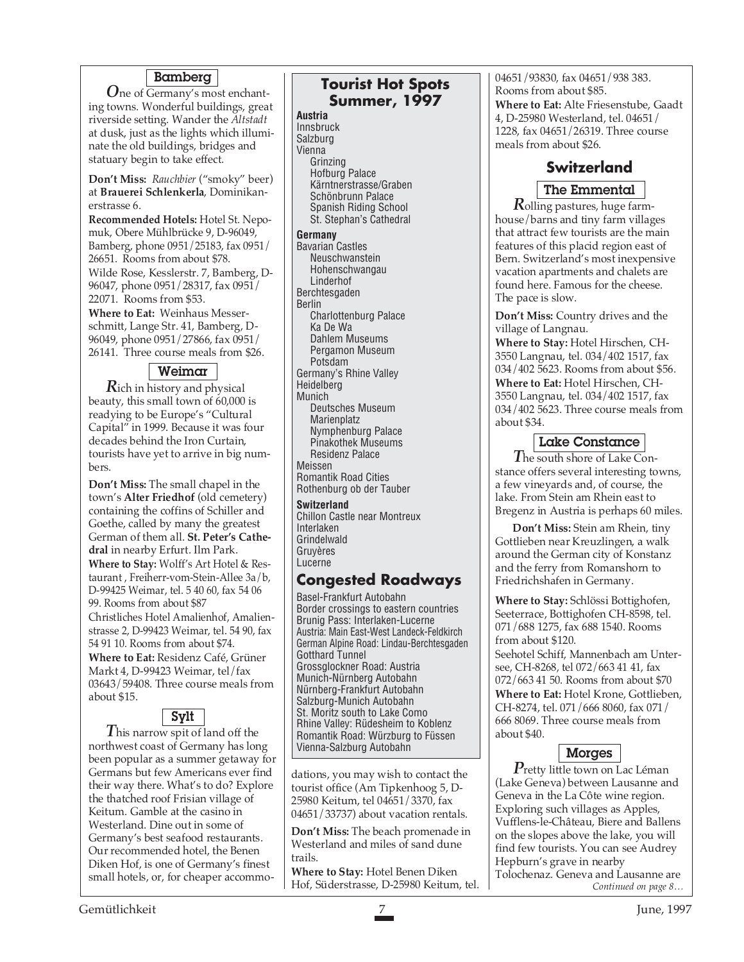# Bamberg

*O*ne of Germany's most enchanting towns. Wonderful buildings, great riverside setting. Wander the *Altstadt* at dusk, just as the lights which illuminate the old buildings, bridges and statuary begin to take effect.

**Don't Miss:** *Rauchbier* ("smoky" beer) at **Brauerei Schlenkerla**, Dominikanerstrasse 6.

**Recommended Hotels:** Hotel St. Nepomuk, Obere Mühlbrücke 9, D-96049, Bamberg, phone 0951/25183, fax 0951/ 26651. Rooms from about \$78. Wilde Rose, Kesslerstr. 7, Bamberg, D-96047, phone 0951/28317, fax 0951/ 22071. Rooms from \$53.

**Where to Eat:** Weinhaus Messerschmitt, Lange Str. 41, Bamberg, D-96049, phone 0951/27866, fax 0951/ 26141. Three course meals from \$26.

# Weimar

*R*ich in history and physical beauty, this small town of 60,000 is readying to be Europe's "Cultural Capital" in 1999. Because it was four decades behind the Iron Curtain, tourists have yet to arrive in big numbers.

**Don't Miss:** The small chapel in the town's **Alter Friedhof** (old cemetery) containing the coffins of Schiller and Goethe, called by many the greatest German of them all. **St. Peter's Cathedral** in nearby Erfurt. Ilm Park. **Where to Stay:** Wolff's Art Hotel & Restaurant , Freiherr-vom-Stein-Allee 3a/b, D-99425 Weimar, tel. 5 40 60, fax 54 06 99. Rooms from about \$87 Christliches Hotel Amalienhof, Amalienstrasse 2, D-99423 Weimar, tel. 54 90, fax 54 91 10. Rooms from about \$74. **Where to Eat:** Residenz Café, Grüner Markt 4, D-99423 Weimar, tel/fax 03643/59408. Three course meals from about \$15.

# Sylt

*T*his narrow spit of land off the northwest coast of Germany has long been popular as a summer getaway for Germans but few Americans ever find their way there. What's to do? Explore the thatched roof Frisian village of Keitum. Gamble at the casino in Westerland. Dine out in some of Germany's best seafood restaurants. Our recommended hotel, the Benen Diken Hof, is one of Germany's finest small hotels, or, for cheaper accommo-

# **Tourist Hot Spots Summer, 1997**

**Austria** Innsbruck Salzburg Vienna Grinzing Hofburg Palace Kärntnerstrasse/Graben Schönbrunn Palace Spanish Riding School St. Stephan's Cathedral **Germany** Bavarian Castles Neuschwanstein Hohenschwangau Linderhof Berchtesgaden Berlin Charlottenburg Palace Ka De Wa Dahlem Museums Pergamon Museum Potsdam Germany's Rhine Valley Heidelberg Munich Deutsches Museum Marienplatz Nymphenburg Palace Pinakothek Museums Residenz Palace Meissen Romantik Road Cities Rothenburg ob der Tauber

**Switzerland** Chillon Castle near Montreux Interlaken Grindelwald Gruyères Lucerne

# **Congested Roadways**

Basel-Frankfurt Autobahn Border crossings to eastern countries Brunig Pass: Interlaken-Lucerne Austria: Main East-West Landeck-Feldkirch German Alpine Road: Lindau-Berchtesgaden Gotthard Tunnel Grossglockner Road: Austria Munich-Nürnberg Autobahn Nürnberg-Frankfurt Autobahn Salzburg-Munich Autobahn St. Moritz south to Lake Como Rhine Valley: Rüdesheim to Koblenz Romantik Road: Würzburg to Füssen Vienna-Salzburg Autobahn

dations, you may wish to contact the tourist office (Am Tipkenhoog 5, D-25980 Keitum, tel 04651/3370, fax 04651/33737) about vacation rentals.

**Don't Miss:** The beach promenade in Westerland and miles of sand dune trails.

**Where to Stay:** Hotel Benen Diken Hof, Süderstrasse, D-25980 Keitum, tel. 04651/93830, fax 04651/938 383. Rooms from about \$85. **Where to Eat:** Alte Friesenstube, Gaadt 4, D-25980 Westerland, tel. 04651/ 1228, fax 04651/26319. Three course meals from about \$26.

# **Switzerland**

# The Emmental

*R*olling pastures, huge farmhouse/barns and tiny farm villages that attract few tourists are the main features of this placid region east of Bern. Switzerland's most inexpensive vacation apartments and chalets are found here. Famous for the cheese. The pace is slow.

**Don't Miss:** Country drives and the village of Langnau.

**Where to Stay:** Hotel Hirschen, CH-3550 Langnau, tel. 034/402 1517, fax 034/402 5623. Rooms from about \$56. **Where to Eat:** Hotel Hirschen, CH-3550 Langnau, tel. 034/402 1517, fax 034/402 5623. Three course meals from about \$34.

# Lake Constance

*T*he south shore of Lake Constance offers several interesting towns, a few vineyards and, of course, the lake. From Stein am Rhein east to Bregenz in Austria is perhaps 60 miles.

**Don't Miss:** Stein am Rhein, tiny Gottlieben near Kreuzlingen, a walk around the German city of Konstanz and the ferry from Romanshorn to Friedrichshafen in Germany.

**Where to Stay:** Schlössi Bottighofen, Seeterrace, Bottighofen CH-8598, tel. 071/688 1275, fax 688 1540. Rooms from about \$120.

Seehotel Schiff, Mannenbach am Untersee, CH-8268, tel 072/663 41 41, fax 072/663 41 50. Rooms from about \$70 **Where to Eat:** Hotel Krone, Gottlieben, CH-8274, tel. 071/666 8060, fax 071/ 666 8069. Three course meals from about \$40.

# Morges

*P*retty little town on Lac Léman (Lake Geneva) between Lausanne and Geneva in the La Côte wine region. Exploring such villages as Apples, Vufflens-le-Château, Biere and Ballens on the slopes above the lake, you will find few tourists. You can see Audrey Hepburn's grave in nearby Tolochenaz. Geneva and Lausanne are<br>Continued on page 8...